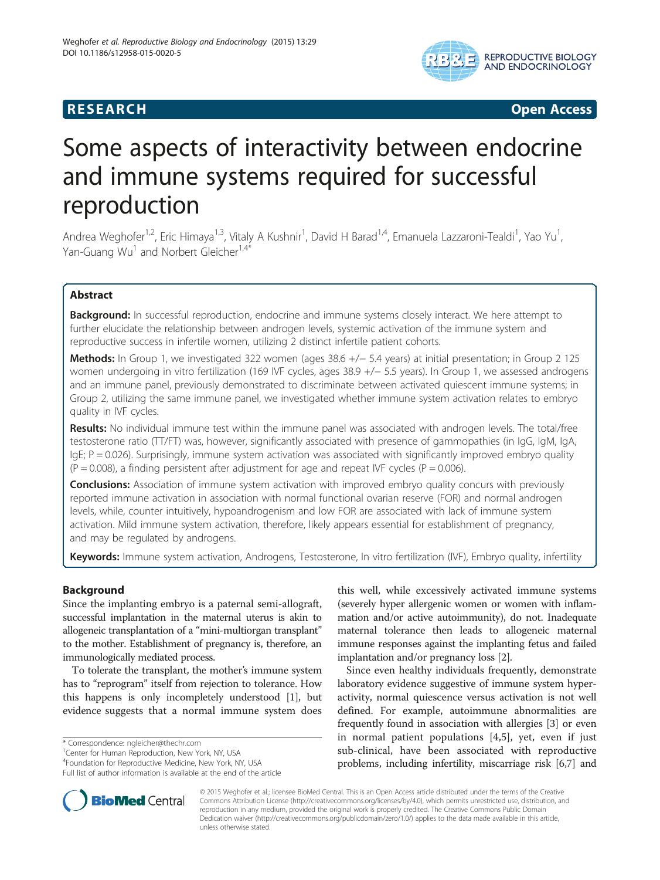# **RESEARCH CHINESE ARCH CHINESE ARCH CHINESE ARCH**



# Some aspects of interactivity between endocrine and immune systems required for successful reproduction

Andrea Weghofer<sup>1,2</sup>, Eric Himaya<sup>1,3</sup>, Vitaly A Kushnir<sup>1</sup>, David H Barad<sup>1,4</sup>, Emanuela Lazzaroni-Tealdi<sup>1</sup>, Yao Yu<sup>1</sup> , Yan-Guang Wu<sup>1</sup> and Norbert Gleicher<sup>1,4\*</sup>

# Abstract

Background: In successful reproduction, endocrine and immune systems closely interact. We here attempt to further elucidate the relationship between androgen levels, systemic activation of the immune system and reproductive success in infertile women, utilizing 2 distinct infertile patient cohorts.

Methods: In Group 1, we investigated 322 women (ages 38.6 +/− 5.4 years) at initial presentation; in Group 2 125 women undergoing in vitro fertilization (169 IVF cycles, ages 38.9 +/− 5.5 years). In Group 1, we assessed androgens and an immune panel, previously demonstrated to discriminate between activated quiescent immune systems; in Group 2, utilizing the same immune panel, we investigated whether immune system activation relates to embryo quality in IVF cycles.

Results: No individual immune test within the immune panel was associated with androgen levels. The total/free testosterone ratio (TT/FT) was, however, significantly associated with presence of gammopathies (in IgG, IgM, IgA,  $I$ gE; P = 0.026). Surprisingly, immune system activation was associated with significantly improved embryo quality  $(P = 0.008)$ , a finding persistent after adjustment for age and repeat IVF cycles  $(P = 0.006)$ .

**Conclusions:** Association of immune system activation with improved embryo quality concurs with previously reported immune activation in association with normal functional ovarian reserve (FOR) and normal androgen levels, while, counter intuitively, hypoandrogenism and low FOR are associated with lack of immune system activation. Mild immune system activation, therefore, likely appears essential for establishment of pregnancy, and may be regulated by androgens.

Keywords: Immune system activation, Androgens, Testosterone, In vitro fertilization (IVF), Embryo quality, infertility

# Background

Since the implanting embryo is a paternal semi-allograft, successful implantation in the maternal uterus is akin to allogeneic transplantation of a "mini-multiorgan transplant" to the mother. Establishment of pregnancy is, therefore, an immunologically mediated process.

To tolerate the transplant, the mother's immune system has to "reprogram" itself from rejection to tolerance. How this happens is only incompletely understood [\[1](#page-3-0)], but evidence suggests that a normal immune system does

\* Correspondence: [ngleicher@thechr.com](mailto:ngleicher@thechr.com) <sup>1</sup>

<sup>1</sup> Center for Human Reproduction, New York, NY, USA

4 Foundation for Reproductive Medicine, New York, NY, USA

Full list of author information is available at the end of the article

this well, while excessively activated immune systems (severely hyper allergenic women or women with inflammation and/or active autoimmunity), do not. Inadequate maternal tolerance then leads to allogeneic maternal immune responses against the implanting fetus and failed implantation and/or pregnancy loss [\[2](#page-4-0)].

Since even healthy individuals frequently, demonstrate laboratory evidence suggestive of immune system hyperactivity, normal quiescence versus activation is not well defined. For example, autoimmune abnormalities are frequently found in association with allergies [\[3](#page-4-0)] or even in normal patient populations [\[4,5](#page-4-0)], yet, even if just sub-clinical, have been associated with reproductive problems, including infertility, miscarriage risk [[6](#page-4-0),[7](#page-4-0)] and



© 2015 Weghofer et al.; licensee BioMed Central. This is an Open Access article distributed under the terms of the Creative Commons Attribution License [\(http://creativecommons.org/licenses/by/4.0\)](http://creativecommons.org/licenses/by/4.0), which permits unrestricted use, distribution, and reproduction in any medium, provided the original work is properly credited. The Creative Commons Public Domain Dedication waiver [\(http://creativecommons.org/publicdomain/zero/1.0/](http://creativecommons.org/publicdomain/zero/1.0/)) applies to the data made available in this article, unless otherwise stated.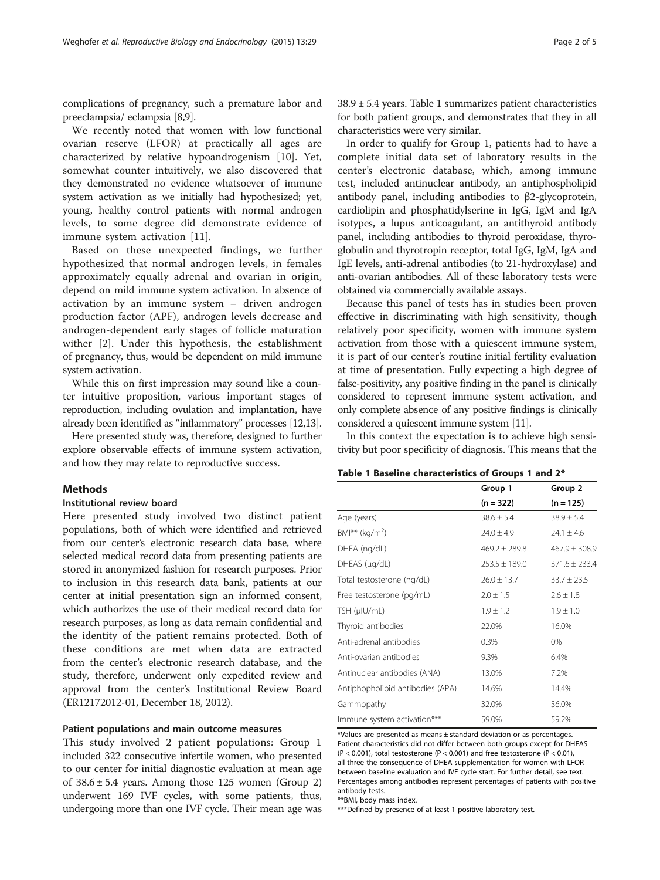<span id="page-1-0"></span>complications of pregnancy, such a premature labor and preeclampsia/ eclampsia [\[8,9\]](#page-4-0).

We recently noted that women with low functional ovarian reserve (LFOR) at practically all ages are characterized by relative hypoandrogenism [[10\]](#page-4-0). Yet, somewhat counter intuitively, we also discovered that they demonstrated no evidence whatsoever of immune system activation as we initially had hypothesized; yet, young, healthy control patients with normal androgen levels, to some degree did demonstrate evidence of immune system activation [[11](#page-4-0)].

Based on these unexpected findings, we further hypothesized that normal androgen levels, in females approximately equally adrenal and ovarian in origin, depend on mild immune system activation. In absence of activation by an immune system – driven androgen production factor (APF), androgen levels decrease and androgen-dependent early stages of follicle maturation wither [\[2](#page-4-0)]. Under this hypothesis, the establishment of pregnancy, thus, would be dependent on mild immune system activation.

While this on first impression may sound like a counter intuitive proposition, various important stages of reproduction, including ovulation and implantation, have already been identified as "inflammatory" processes [\[12,13](#page-4-0)].

Here presented study was, therefore, designed to further explore observable effects of immune system activation, and how they may relate to reproductive success.

#### **Methods**

#### Institutional review board

Here presented study involved two distinct patient populations, both of which were identified and retrieved from our center's electronic research data base, where selected medical record data from presenting patients are stored in anonymized fashion for research purposes. Prior to inclusion in this research data bank, patients at our center at initial presentation sign an informed consent, which authorizes the use of their medical record data for research purposes, as long as data remain confidential and the identity of the patient remains protected. Both of these conditions are met when data are extracted from the center's electronic research database, and the study, therefore, underwent only expedited review and approval from the center's Institutional Review Board (ER12172012-01, December 18, 2012).

#### Patient populations and main outcome measures

This study involved 2 patient populations: Group 1 included 322 consecutive infertile women, who presented to our center for initial diagnostic evaluation at mean age of  $38.6 \pm 5.4$  years. Among those 125 women (Group 2) underwent 169 IVF cycles, with some patients, thus, undergoing more than one IVF cycle. Their mean age was 38.9 ± 5.4 years. Table 1 summarizes patient characteristics for both patient groups, and demonstrates that they in all characteristics were very similar.

In order to qualify for Group 1, patients had to have a complete initial data set of laboratory results in the center's electronic database, which, among immune test, included antinuclear antibody, an antiphospholipid antibody panel, including antibodies to β2-glycoprotein, cardiolipin and phosphatidylserine in IgG, IgM and IgA isotypes, a lupus anticoagulant, an antithyroid antibody panel, including antibodies to thyroid peroxidase, thyroglobulin and thyrotropin receptor, total IgG, IgM, IgA and IgE levels, anti-adrenal antibodies (to 21-hydroxylase) and anti-ovarian antibodies. All of these laboratory tests were obtained via commercially available assays.

Because this panel of tests has in studies been proven effective in discriminating with high sensitivity, though relatively poor specificity, women with immune system activation from those with a quiescent immune system, it is part of our center's routine initial fertility evaluation at time of presentation. Fully expecting a high degree of false-positivity, any positive finding in the panel is clinically considered to represent immune system activation, and only complete absence of any positive findings is clinically considered a quiescent immune system [\[11\]](#page-4-0).

In this context the expectation is to achieve high sensitivity but poor specificity of diagnosis. This means that the

#### Table 1 Baseline characteristics of Groups 1 and 2\*

|                                  | Group 1<br>$(n = 322)$ | Group 2<br>$(n = 125)$ |
|----------------------------------|------------------------|------------------------|
|                                  |                        |                        |
| Age (years)                      | $38.6 \pm 5.4$         | $38.9 \pm 5.4$         |
| $BMI***$ (kg/m <sup>2</sup> )    | $24.0 \pm 4.9$         | $24.1 \pm 4.6$         |
| DHEA (ng/dL)                     | $469.2 \pm 289.8$      | $467.9 \pm 308.9$      |
| DHEAS (µg/dL)                    | $253.5 \pm 189.0$      | $371.6 \pm 233.4$      |
| Total testosterone (ng/dL)       | $26.0 \pm 13.7$        | $33.7 \pm 23.5$        |
| Free testosterone (pg/mL)        | $2.0 \pm 1.5$          | $2.6 \pm 1.8$          |
| TSH (µIU/mL)                     | $1.9 \pm 1.2$          | $1.9 \pm 1.0$          |
| Thyroid antibodies               | 22.0%                  | 16.0%                  |
| Anti-adrenal antibodies          | 0.3%                   | 0%                     |
| Anti-ovarian antibodies          | 9.3%                   | 6.4%                   |
| Antinuclear antibodies (ANA)     | 13.0%                  | 7.2%                   |
| Antiphopholipid antibodies (APA) | 14.6%                  | 14.4%                  |
| Gammopathy                       | 32.0%                  | 36.0%                  |
| Immune system activation***      | 59.0%                  | 59.2%                  |

\*Values are presented as means ± standard deviation or as percentages. Patient characteristics did not differ between both groups except for DHEAS (P < 0.001), total testosterone (P < 0.001) and free testosterone (P < 0.01), all three the consequence of DHEA supplementation for women with LFOR between baseline evaluation and IVF cycle start. For further detail, see text. Percentages among antibodies represent percentages of patients with positive antibody tests.

\*\*BMI, body mass index.

\*\*\*Defined by presence of at least 1 positive laboratory test.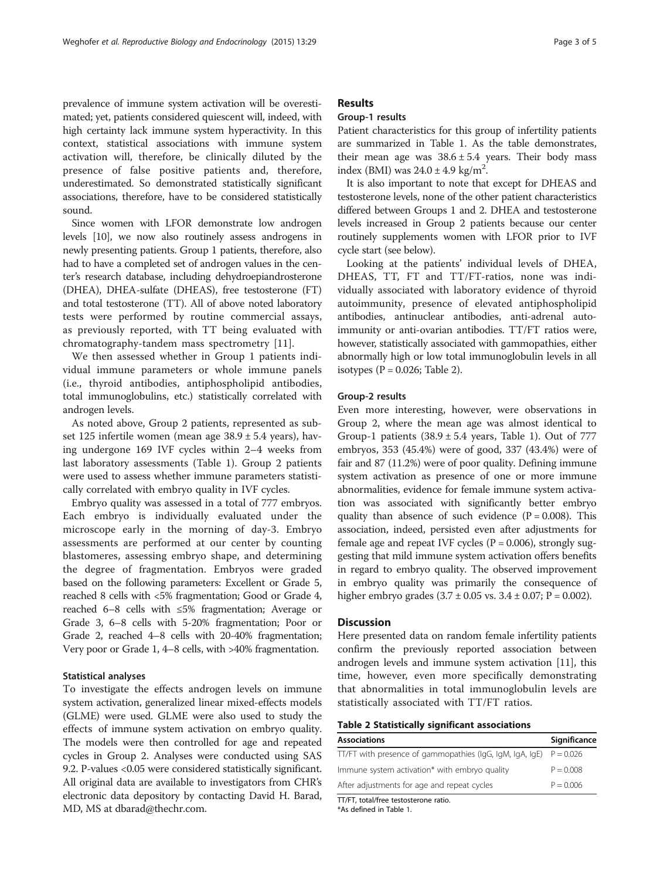prevalence of immune system activation will be overestimated; yet, patients considered quiescent will, indeed, with high certainty lack immune system hyperactivity. In this context, statistical associations with immune system activation will, therefore, be clinically diluted by the presence of false positive patients and, therefore, underestimated. So demonstrated statistically significant associations, therefore, have to be considered statistically sound.

Since women with LFOR demonstrate low androgen levels [[10](#page-4-0)], we now also routinely assess androgens in newly presenting patients. Group 1 patients, therefore, also had to have a completed set of androgen values in the center's research database, including dehydroepiandrosterone (DHEA), DHEA-sulfate (DHEAS), free testosterone (FT) and total testosterone (TT). All of above noted laboratory tests were performed by routine commercial assays, as previously reported, with TT being evaluated with chromatography-tandem mass spectrometry [\[11](#page-4-0)].

We then assessed whether in Group 1 patients individual immune parameters or whole immune panels (i.e., thyroid antibodies, antiphospholipid antibodies, total immunoglobulins, etc.) statistically correlated with androgen levels.

As noted above, Group 2 patients, represented as subset 125 infertile women (mean age 38.9 ± 5.4 years), having undergone 169 IVF cycles within 2–4 weeks from last laboratory assessments (Table [1\)](#page-1-0). Group 2 patients were used to assess whether immune parameters statistically correlated with embryo quality in IVF cycles.

Embryo quality was assessed in a total of 777 embryos. Each embryo is individually evaluated under the microscope early in the morning of day-3. Embryo assessments are performed at our center by counting blastomeres, assessing embryo shape, and determining the degree of fragmentation. Embryos were graded based on the following parameters: Excellent or Grade 5, reached 8 cells with <5% fragmentation; Good or Grade 4, reached 6–8 cells with ≤5% fragmentation; Average or Grade 3, 6–8 cells with 5-20% fragmentation; Poor or Grade 2, reached 4–8 cells with 20-40% fragmentation; Very poor or Grade 1, 4–8 cells, with >40% fragmentation.

## Statistical analyses

To investigate the effects androgen levels on immune system activation, generalized linear mixed-effects models (GLME) were used. GLME were also used to study the effects of immune system activation on embryo quality. The models were then controlled for age and repeated cycles in Group 2. Analyses were conducted using SAS 9.2. P-values <0.05 were considered statistically significant. All original data are available to investigators from CHR's electronic data depository by contacting David H. Barad, MD, MS at dbarad@thechr.com.

# Results

# Group-1 results

Patient characteristics for this group of infertility patients are summarized in Table [1](#page-1-0). As the table demonstrates, their mean age was  $38.6 \pm 5.4$  years. Their body mass index (BMI) was  $24.0 \pm 4.9$  kg/m<sup>2</sup>.

It is also important to note that except for DHEAS and testosterone levels, none of the other patient characteristics differed between Groups 1 and 2. DHEA and testosterone levels increased in Group 2 patients because our center routinely supplements women with LFOR prior to IVF cycle start (see below).

Looking at the patients' individual levels of DHEA, DHEAS, TT, FT and TT/FT-ratios, none was individually associated with laboratory evidence of thyroid autoimmunity, presence of elevated antiphospholipid antibodies, antinuclear antibodies, anti-adrenal autoimmunity or anti-ovarian antibodies. TT/FT ratios were, however, statistically associated with gammopathies, either abnormally high or low total immunoglobulin levels in all isotypes  $(P = 0.026$ ; Table 2).

#### Group-2 results

Even more interesting, however, were observations in Group 2, where the mean age was almost identical to Group-1 patients  $(38.9 \pm 5.4$  years, Table [1\)](#page-1-0). Out of 777 embryos, 353 (45.4%) were of good, 337 (43.4%) were of fair and 87 (11.2%) were of poor quality. Defining immune system activation as presence of one or more immune abnormalities, evidence for female immune system activation was associated with significantly better embryo quality than absence of such evidence  $(P = 0.008)$ . This association, indeed, persisted even after adjustments for female age and repeat IVF cycles ( $P = 0.006$ ), strongly suggesting that mild immune system activation offers benefits in regard to embryo quality. The observed improvement in embryo quality was primarily the consequence of higher embryo grades  $(3.7 \pm 0.05 \text{ vs. } 3.4 \pm 0.07; P = 0.002)$ .

# **Discussion**

Here presented data on random female infertility patients confirm the previously reported association between androgen levels and immune system activation [\[11\]](#page-4-0), this time, however, even more specifically demonstrating that abnormalities in total immunoglobulin levels are statistically associated with TT/FT ratios.

Table 2 Statistically significant associations

| <b>Associations</b>                                      | Significance |
|----------------------------------------------------------|--------------|
| TT/FT with presence of gammopathies (lgG, lgM, lgA, lgE) | $P = 0.026$  |
| Immune system activation* with embryo quality            | $P = 0.008$  |
| After adjustments for age and repeat cycles              | $P = 0.006$  |
| TT/FT, total/free testosterone ratio.                    |              |

\*As defined in Table [1](#page-1-0).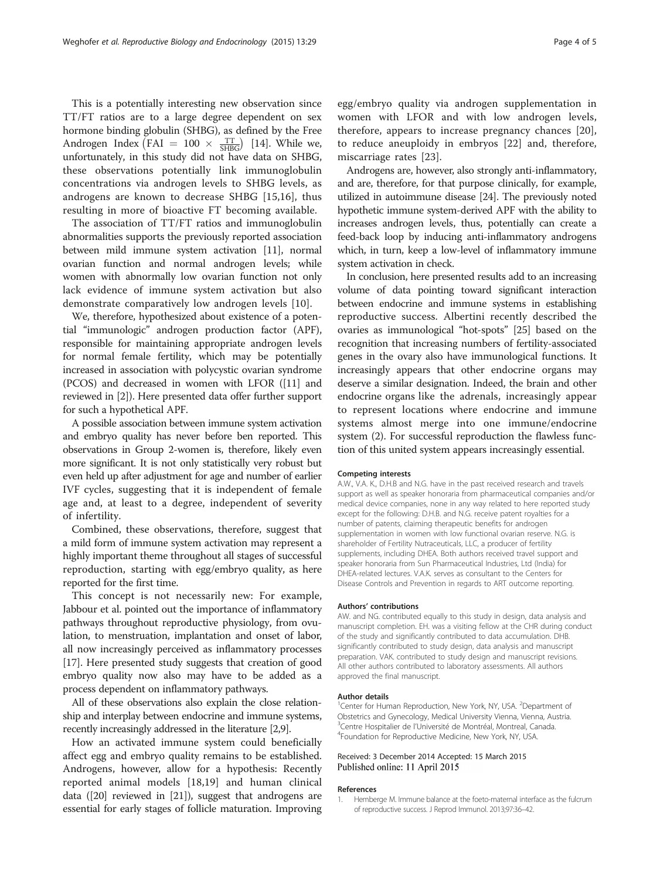<span id="page-3-0"></span>This is a potentially interesting new observation since TT/FT ratios are to a large degree dependent on sex hormone binding globulin (SHBG), as defined by the Free Androgen Index (FAI =  $100 \times \frac{TT}{SHBG}$ ) [[14](#page-4-0)]. While we, unfortunately, in this study did not have data on SHBG, these observations potentially link immunoglobulin concentrations via androgen levels to SHBG levels, as androgens are known to decrease SHBG [\[15,16\]](#page-4-0), thus resulting in more of bioactive FT becoming available.

The association of TT/FT ratios and immunoglobulin abnormalities supports the previously reported association between mild immune system activation [[11](#page-4-0)], normal ovarian function and normal androgen levels; while women with abnormally low ovarian function not only lack evidence of immune system activation but also demonstrate comparatively low androgen levels [\[10](#page-4-0)].

We, therefore, hypothesized about existence of a potential "immunologic" androgen production factor (APF), responsible for maintaining appropriate androgen levels for normal female fertility, which may be potentially increased in association with polycystic ovarian syndrome (PCOS) and decreased in women with LFOR ([\[11](#page-4-0)] and reviewed in [\[2](#page-4-0)]). Here presented data offer further support for such a hypothetical APF.

A possible association between immune system activation and embryo quality has never before ben reported. This observations in Group 2-women is, therefore, likely even more significant. It is not only statistically very robust but even held up after adjustment for age and number of earlier IVF cycles, suggesting that it is independent of female age and, at least to a degree, independent of severity of infertility.

Combined, these observations, therefore, suggest that a mild form of immune system activation may represent a highly important theme throughout all stages of successful reproduction, starting with egg/embryo quality, as here reported for the first time.

This concept is not necessarily new: For example, Jabbour et al. pointed out the importance of inflammatory pathways throughout reproductive physiology, from ovulation, to menstruation, implantation and onset of labor, all now increasingly perceived as inflammatory processes [[17](#page-4-0)]. Here presented study suggests that creation of good embryo quality now also may have to be added as a process dependent on inflammatory pathways.

All of these observations also explain the close relationship and interplay between endocrine and immune systems, recently increasingly addressed in the literature [\[2,9\]](#page-4-0).

How an activated immune system could beneficially affect egg and embryo quality remains to be established. Androgens, however, allow for a hypothesis: Recently reported animal models [\[18](#page-4-0),[19\]](#page-4-0) and human clinical data ([\[20\]](#page-4-0) reviewed in [\[21](#page-4-0)]), suggest that androgens are essential for early stages of follicle maturation. Improving egg/embryo quality via androgen supplementation in women with LFOR and with low androgen levels, therefore, appears to increase pregnancy chances [\[20](#page-4-0)], to reduce aneuploidy in embryos [[22\]](#page-4-0) and, therefore, miscarriage rates [\[23](#page-4-0)].

Androgens are, however, also strongly anti-inflammatory, and are, therefore, for that purpose clinically, for example, utilized in autoimmune disease [[24](#page-4-0)]. The previously noted hypothetic immune system-derived APF with the ability to increases androgen levels, thus, potentially can create a feed-back loop by inducing anti-inflammatory androgens which, in turn, keep a low-level of inflammatory immune system activation in check.

In conclusion, here presented results add to an increasing volume of data pointing toward significant interaction between endocrine and immune systems in establishing reproductive success. Albertini recently described the ovaries as immunological "hot-spots" [\[25\]](#page-4-0) based on the recognition that increasing numbers of fertility-associated genes in the ovary also have immunological functions. It increasingly appears that other endocrine organs may deserve a similar designation. Indeed, the brain and other endocrine organs like the adrenals, increasingly appear to represent locations where endocrine and immune systems almost merge into one immune/endocrine system (2). For successful reproduction the flawless function of this united system appears increasingly essential.

#### Competing interests

A.W., V.A. K., D.H.B and N.G. have in the past received research and travels support as well as speaker honoraria from pharmaceutical companies and/or medical device companies, none in any way related to here reported study except for the following: D.H.B. and N.G. receive patent royalties for a number of patents, claiming therapeutic benefits for androgen supplementation in women with low functional ovarian reserve. N.G. is shareholder of Fertility Nutraceuticals, LLC, a producer of fertility supplements, including DHEA. Both authors received travel support and speaker honoraria from Sun Pharmaceutical Industries, Ltd (India) for DHEA-related lectures. V.A.K. serves as consultant to the Centers for Disease Controls and Prevention in regards to ART outcome reporting.

#### Authors' contributions

AW. and NG. contributed equally to this study in design, data analysis and manuscript completion. EH. was a visiting fellow at the CHR during conduct of the study and significantly contributed to data accumulation. DHB. significantly contributed to study design, data analysis and manuscript preparation. VAK. contributed to study design and manuscript revisions. All other authors contributed to laboratory assessments. All authors approved the final manuscript.

#### Author details

<sup>1</sup> Center for Human Reproduction, New York, NY, USA. <sup>2</sup> Department of Obstetrics and Gynecology, Medical University Vienna, Vienna, Austria. <sup>3</sup>Centre Hospitalier de l'Université de Montréal, Montreal, Canada.<br><sup>4</sup>Foundation for Benroductive Medicine, New York, NY USA. Foundation for Reproductive Medicine, New York, NY, USA.

#### Received: 3 December 2014 Accepted: 15 March 2015 Published online: 11 April 2015

#### References

1. Hemberge M. Immune balance at the foeto-maternal interface as the fulcrum of reproductive success. J Reprod Immunol. 2013;97:36–42.